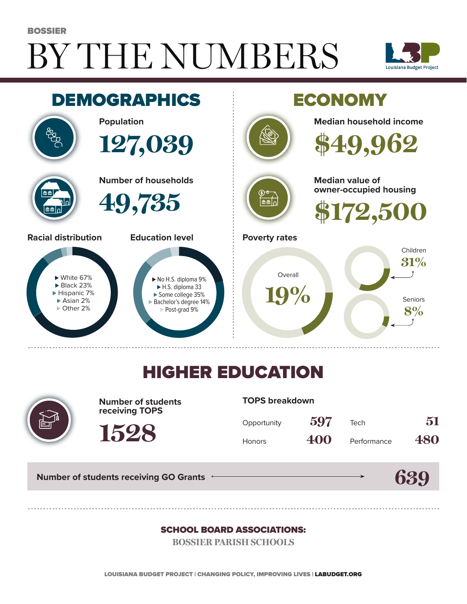# BY THE NUMBERS BOSSIER





## HIGHER EDUCATION



**Number of students receiving TOPS**

**TOPS breakdown**

| Opportunity   | 597 | Tech        | 51  |
|---------------|-----|-------------|-----|
| <b>Honors</b> | 400 | Performance | 480 |

**Number of students receiving GO Grants**

**1528**

#### **639**

#### SCHOOL BOARD ASSOCIATIONS:

**BOSSIER PARISH SCHOOLS**